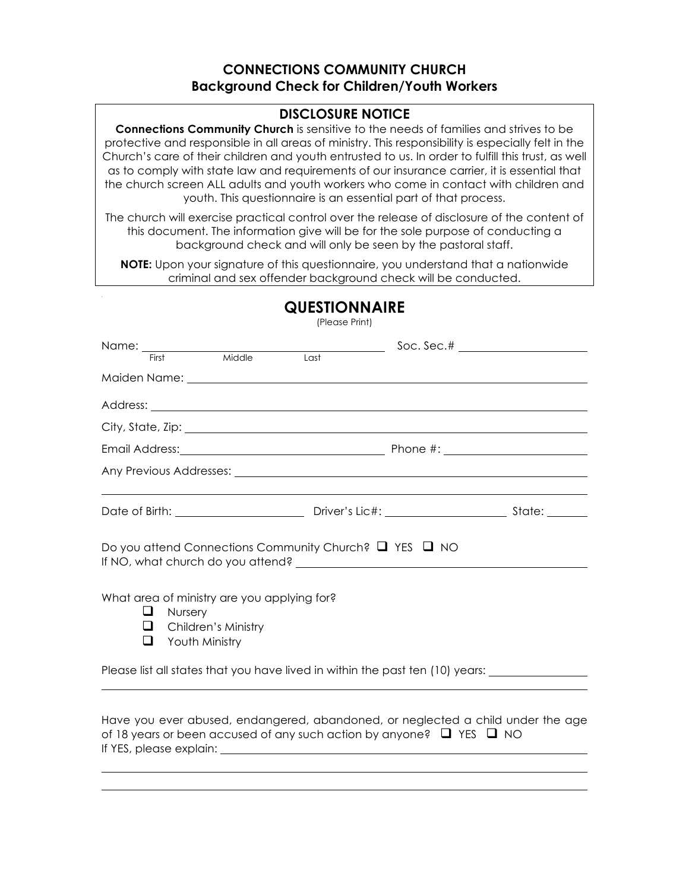## **CONNECTIONS COMMUNITY CHURCH Background Check for Children/Youth Workers**

## **DISCLOSURE NOTICE**

**Connections Community Church** is sensitive to the needs of families and strives to be protective and responsible in all areas of ministry. This responsibility is especially felt in the Church's care of their children and youth entrusted to us. In order to fulfill this trust, as well as to comply with state law and requirements of our insurance carrier, it is essential that the church screen ALL adults and youth workers who come in contact with children and youth. This questionnaire is an essential part of that process.

The church will exercise practical control over the release of disclosure of the content of this document. The information give will be for the sole purpose of conducting a background check and will only be seen by the pastoral staff.

**NOTE:** Upon your signature of this questionnaire, you understand that a nationwide criminal and sex offender background check will be conducted.

|        |                                         |                                                                    | (Piease Print) |                                                                                |                                                                                                     |
|--------|-----------------------------------------|--------------------------------------------------------------------|----------------|--------------------------------------------------------------------------------|-----------------------------------------------------------------------------------------------------|
|        |                                         |                                                                    |                |                                                                                |                                                                                                     |
|        |                                         |                                                                    |                |                                                                                |                                                                                                     |
|        |                                         |                                                                    |                |                                                                                |                                                                                                     |
|        |                                         |                                                                    |                |                                                                                |                                                                                                     |
|        |                                         |                                                                    |                |                                                                                |                                                                                                     |
|        |                                         |                                                                    |                |                                                                                |                                                                                                     |
|        |                                         |                                                                    |                |                                                                                |                                                                                                     |
|        |                                         |                                                                    |                | Do you attend Connections Community Church? $\Box$ YES $\Box$ NO               |                                                                                                     |
| ⊔<br>⊔ | <b>Nursery</b><br>$\Box$ Youth Ministry | What area of ministry are you applying for?<br>Children's Ministry |                |                                                                                |                                                                                                     |
|        |                                         |                                                                    |                |                                                                                | Please list all states that you have lived in within the past ten (10) years: _____________________ |
|        |                                         |                                                                    |                | of 18 years or been accused of any such action by anyone? $\Box$ YES $\Box$ NO | Have you ever abused, endangered, abandoned, or neglected a child under the age                     |

# **QUESTIONNAIRE**

(Please Print)

If YES, please explain: